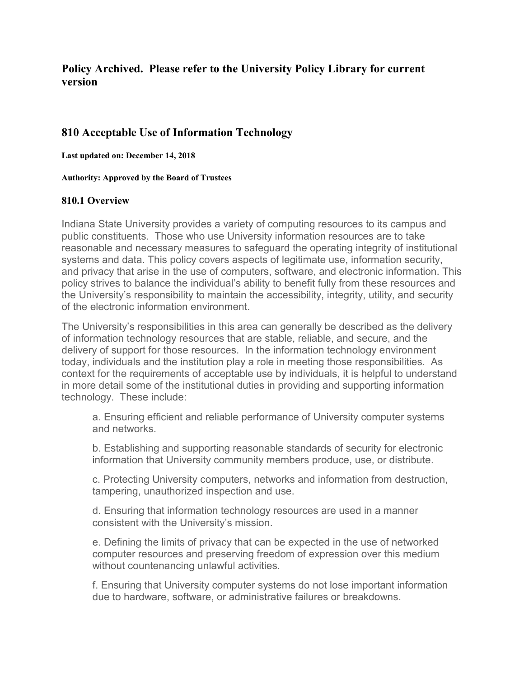# **Policy Archived. Please refer to the University Policy Library for current version**

# **810 Acceptable Use of Information Technology**

**Last updated on: December 14, 2018**

**Authority: Approved by the Board of Trustees**

#### **810.1 Overview**

Indiana State University provides a variety of computing resources to its campus and public constituents. Those who use University information resources are to take reasonable and necessary measures to safeguard the operating integrity of institutional systems and data. This policy covers aspects of legitimate use, information security, and privacy that arise in the use of computers, software, and electronic information. This policy strives to balance the individual's ability to benefit fully from these resources and the University's responsibility to maintain the accessibility, integrity, utility, and security of the electronic information environment.

The University's responsibilities in this area can generally be described as the delivery of information technology resources that are stable, reliable, and secure, and the delivery of support for those resources. In the information technology environment today, individuals and the institution play a role in meeting those responsibilities. As context for the requirements of acceptable use by individuals, it is helpful to understand in more detail some of the institutional duties in providing and supporting information technology. These include:

a. Ensuring efficient and reliable performance of University computer systems and networks.

b. Establishing and supporting reasonable standards of security for electronic information that University community members produce, use, or distribute.

c. Protecting University computers, networks and information from destruction, tampering, unauthorized inspection and use.

d. Ensuring that information technology resources are used in a manner consistent with the University's mission.

e. Defining the limits of privacy that can be expected in the use of networked computer resources and preserving freedom of expression over this medium without countenancing unlawful activities.

f. Ensuring that University computer systems do not lose important information due to hardware, software, or administrative failures or breakdowns.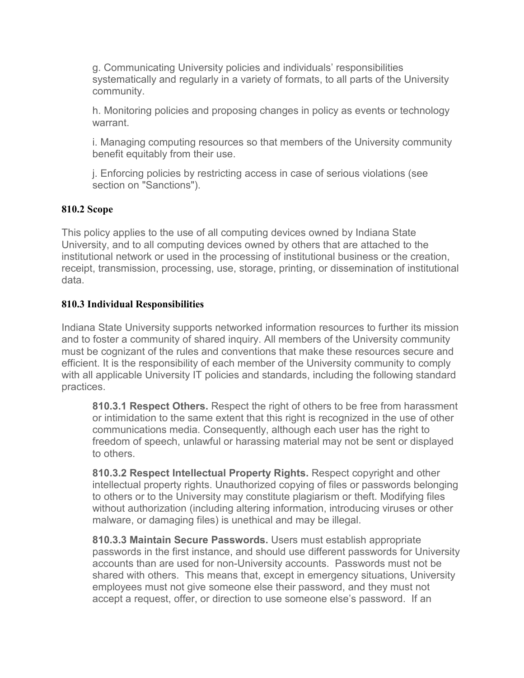g. Communicating University policies and individuals' responsibilities systematically and regularly in a variety of formats, to all parts of the University community.

h. Monitoring policies and proposing changes in policy as events or technology warrant.

i. Managing computing resources so that members of the University community benefit equitably from their use.

j. Enforcing policies by restricting access in case of serious violations (see section on "Sanctions").

### **810.2 Scope**

This policy applies to the use of all computing devices owned by Indiana State University, and to all computing devices owned by others that are attached to the institutional network or used in the processing of institutional business or the creation, receipt, transmission, processing, use, storage, printing, or dissemination of institutional data.

### **810.3 Individual Responsibilities**

Indiana State University supports networked information resources to further its mission and to foster a community of shared inquiry. All members of the University community must be cognizant of the rules and conventions that make these resources secure and efficient. It is the responsibility of each member of the University community to comply with all applicable University IT policies and standards, including the following standard practices.

**810.3.1 Respect Others.** Respect the right of others to be free from harassment or intimidation to the same extent that this right is recognized in the use of other communications media. Consequently, although each user has the right to freedom of speech, unlawful or harassing material may not be sent or displayed to others.

**810.3.2 Respect Intellectual Property Rights.** Respect copyright and other intellectual property rights. Unauthorized copying of files or passwords belonging to others or to the University may constitute plagiarism or theft. Modifying files without authorization (including altering information, introducing viruses or other malware, or damaging files) is unethical and may be illegal.

**810.3.3 Maintain Secure Passwords.** Users must establish appropriate passwords in the first instance, and should use different passwords for University accounts than are used for non-University accounts. Passwords must not be shared with others. This means that, except in emergency situations, University employees must not give someone else their password, and they must not accept a request, offer, or direction to use someone else's password. If an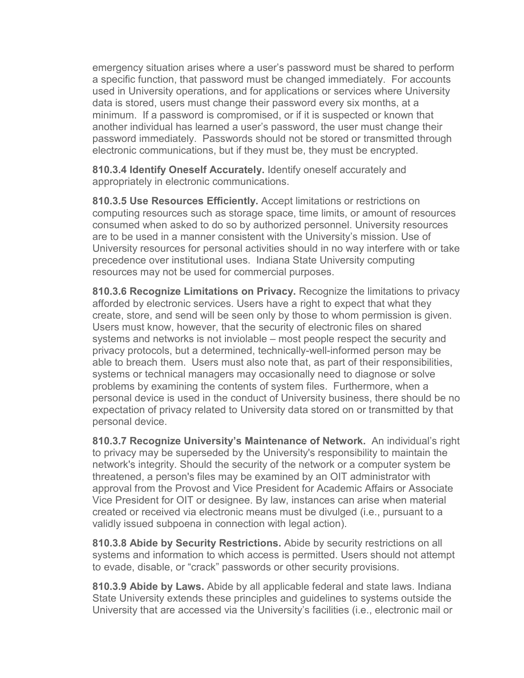emergency situation arises where a user's password must be shared to perform a specific function, that password must be changed immediately. For accounts used in University operations, and for applications or services where University data is stored, users must change their password every six months, at a minimum. If a password is compromised, or if it is suspected or known that another individual has learned a user's password, the user must change their password immediately. Passwords should not be stored or transmitted through electronic communications, but if they must be, they must be encrypted.

**810.3.4 Identify Oneself Accurately.** Identify oneself accurately and appropriately in electronic communications.

**810.3.5 Use Resources Efficiently.** Accept limitations or restrictions on computing resources such as storage space, time limits, or amount of resources consumed when asked to do so by authorized personnel. University resources are to be used in a manner consistent with the University's mission. Use of University resources for personal activities should in no way interfere with or take precedence over institutional uses. Indiana State University computing resources may not be used for commercial purposes.

**810.3.6 Recognize Limitations on Privacy.** Recognize the limitations to privacy afforded by electronic services. Users have a right to expect that what they create, store, and send will be seen only by those to whom permission is given. Users must know, however, that the security of electronic files on shared systems and networks is not inviolable – most people respect the security and privacy protocols, but a determined, technically-well-informed person may be able to breach them. Users must also note that, as part of their responsibilities, systems or technical managers may occasionally need to diagnose or solve problems by examining the contents of system files. Furthermore, when a personal device is used in the conduct of University business, there should be no expectation of privacy related to University data stored on or transmitted by that personal device.

**810.3.7 Recognize University's Maintenance of Network.** An individual's right to privacy may be superseded by the University's responsibility to maintain the network's integrity. Should the security of the network or a computer system be threatened, a person's files may be examined by an OIT administrator with approval from the Provost and Vice President for Academic Affairs or Associate Vice President for OIT or designee. By law, instances can arise when material created or received via electronic means must be divulged (i.e., pursuant to a validly issued subpoena in connection with legal action).

**810.3.8 Abide by Security Restrictions.** Abide by security restrictions on all systems and information to which access is permitted. Users should not attempt to evade, disable, or "crack" passwords or other security provisions.

**810.3.9 Abide by Laws.** Abide by all applicable federal and state laws. Indiana State University extends these principles and guidelines to systems outside the University that are accessed via the University's facilities (i.e., electronic mail or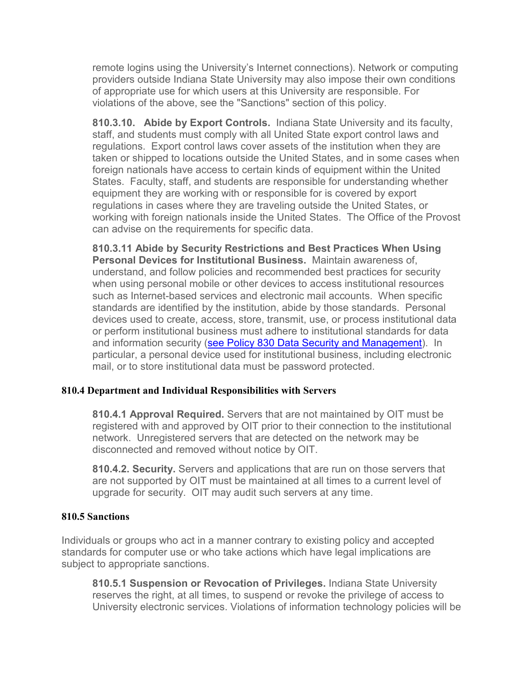remote logins using the University's Internet connections). Network or computing providers outside Indiana State University may also impose their own conditions of appropriate use for which users at this University are responsible. For violations of the above, see the "Sanctions" section of this policy.

**810.3.10. Abide by Export Controls.** Indiana State University and its faculty, staff, and students must comply with all United State export control laws and regulations. Export control laws cover assets of the institution when they are taken or shipped to locations outside the United States, and in some cases when foreign nationals have access to certain kinds of equipment within the United States. Faculty, staff, and students are responsible for understanding whether equipment they are working with or responsible for is covered by export regulations in cases where they are traveling outside the United States, or working with foreign nationals inside the United States. The Office of the Provost can advise on the requirements for specific data.

**810.3.11 Abide by Security Restrictions and Best Practices When Using Personal Devices for Institutional Business.** Maintain awareness of, understand, and follow policies and recommended best practices for security when using personal mobile or other devices to access institutional resources such as Internet-based services and electronic mail accounts. When specific standards are identified by the institution, abide by those standards. Personal devices used to create, access, store, transmit, use, or process institutional data or perform institutional business must adhere to institutional standards for data and information security [\(see Policy 830 Data Security and Management\)](http://www.indstate.edu/policy-library/data-security-and-management). In particular, a personal device used for institutional business, including electronic mail, or to store institutional data must be password protected.

### **810.4 Department and Individual Responsibilities with Servers**

**810.4.1 Approval Required.** Servers that are not maintained by OIT must be registered with and approved by OIT prior to their connection to the institutional network. Unregistered servers that are detected on the network may be disconnected and removed without notice by OIT.

**810.4.2. Security.** Servers and applications that are run on those servers that are not supported by OIT must be maintained at all times to a current level of upgrade for security. OIT may audit such servers at any time.

### **810.5 Sanctions**

Individuals or groups who act in a manner contrary to existing policy and accepted standards for computer use or who take actions which have legal implications are subject to appropriate sanctions.

**810.5.1 Suspension or Revocation of Privileges.** Indiana State University reserves the right, at all times, to suspend or revoke the privilege of access to University electronic services. Violations of information technology policies will be